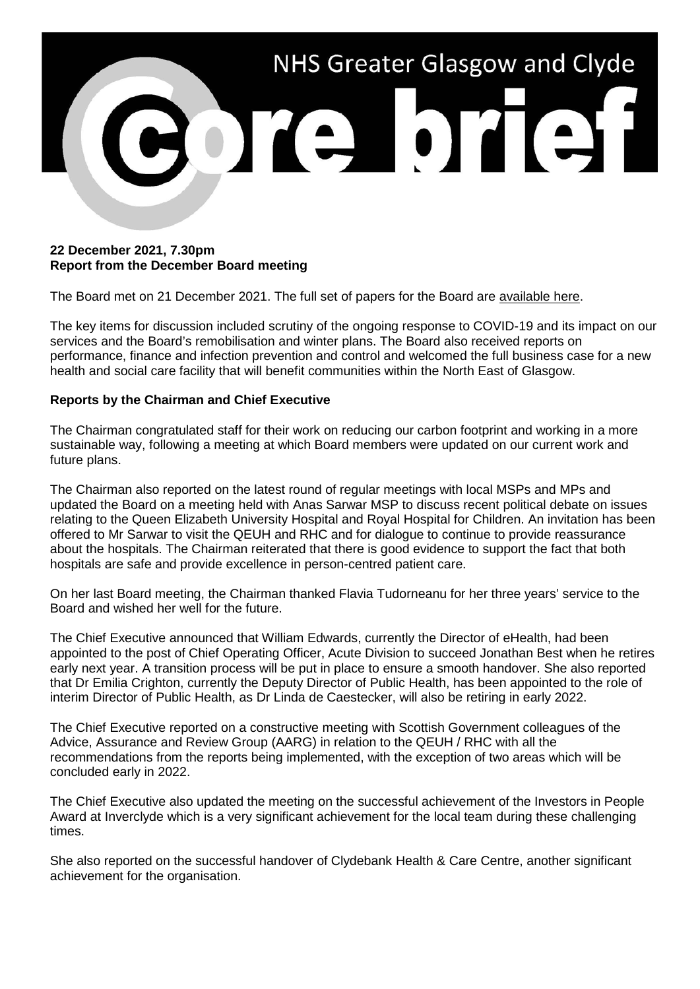

#### **22 December 2021, 7.30pm Report from the December Board meeting**

The Board met on 21 December 2021. The full set of papers for the Board are [available here.](https://www.nhsggc.org.uk/about-us/nhsggc-board/board-meetings-papers-reports/papers/)

The key items for discussion included scrutiny of the ongoing response to COVID-19 and its impact on our services and the Board's remobilisation and winter plans. The Board also received reports on performance, finance and infection prevention and control and welcomed the full business case for a new health and social care facility that will benefit communities within the North East of Glasgow.

#### **Reports by the Chairman and Chief Executive**

The Chairman congratulated staff for their work on reducing our carbon footprint and working in a more sustainable way, following a meeting at which Board members were updated on our current work and future plans.

The Chairman also reported on the latest round of regular meetings with local MSPs and MPs and updated the Board on a meeting held with Anas Sarwar MSP to discuss recent political debate on issues relating to the Queen Elizabeth University Hospital and Royal Hospital for Children. An invitation has been offered to Mr Sarwar to visit the QEUH and RHC and for dialogue to continue to provide reassurance about the hospitals. The Chairman reiterated that there is good evidence to support the fact that both hospitals are safe and provide excellence in person-centred patient care.

On her last Board meeting, the Chairman thanked Flavia Tudorneanu for her three years' service to the Board and wished her well for the future.

The Chief Executive announced that William Edwards, currently the Director of eHealth, had been appointed to the post of Chief Operating Officer, Acute Division to succeed Jonathan Best when he retires early next year. A transition process will be put in place to ensure a smooth handover. She also reported that Dr Emilia Crighton, currently the Deputy Director of Public Health, has been appointed to the role of interim Director of Public Health, as Dr Linda de Caestecker, will also be retiring in early 2022.

The Chief Executive reported on a constructive meeting with Scottish Government colleagues of the Advice, Assurance and Review Group (AARG) in relation to the QEUH / RHC with all the recommendations from the reports being implemented, with the exception of two areas which will be concluded early in 2022.

The Chief Executive also updated the meeting on the successful achievement of the Investors in People Award at Invercivde which is a very significant achievement for the local team during these challenging times.

She also reported on the successful handover of Clydebank Health & Care Centre, another significant achievement for the organisation.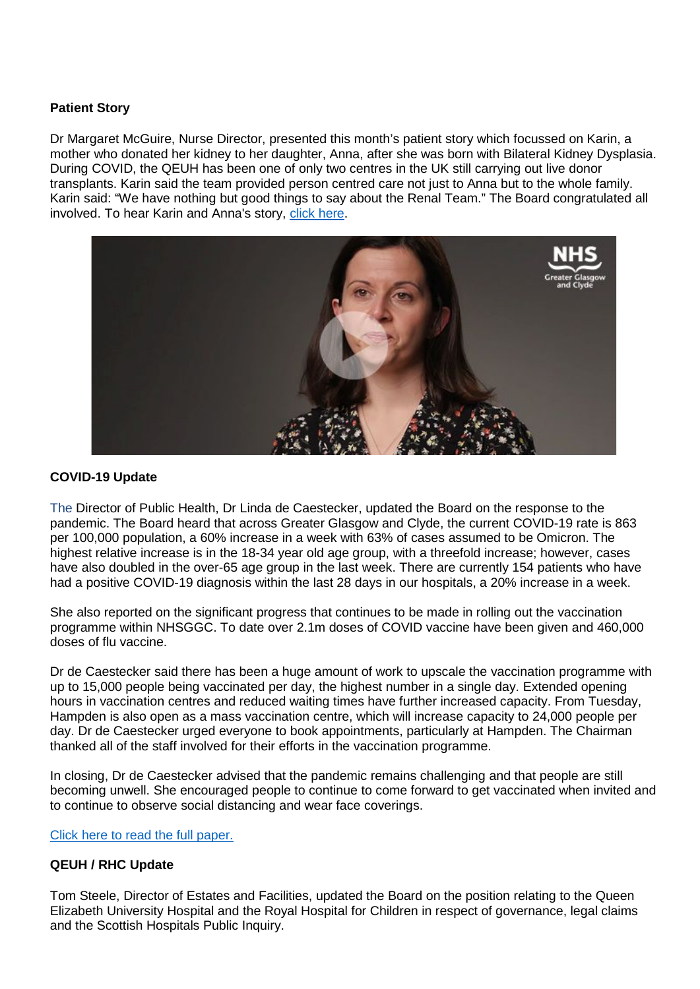# **Patient Story**

Dr Margaret McGuire, Nurse Director, presented this month's patient story which focussed on Karin, a mother who donated her kidney to her daughter, Anna, after she was born with Bilateral Kidney Dysplasia. During COVID, the QEUH has been one of only two centres in the UK still carrying out live donor transplants. Karin said the team provided person centred care not just to Anna but to the whole family. Karin said: "We have nothing but good things to say about the Renal Team." The Board congratulated all involved. To hear Karin and Anna's story, [click here.](https://www.youtube.com/watch?v=_MaI8wwvuao)



# **COVID-19 Update**

The Director of Public Health, Dr Linda de Caestecker, updated the Board on the response to the pandemic. The Board heard that across Greater Glasgow and Clyde, the current COVID-19 rate is 863 per 100,000 population, a 60% increase in a week with 63% of cases assumed to be Omicron. The highest relative increase is in the 18-34 year old age group, with a threefold increase; however, cases have also doubled in the over-65 age group in the last week. There are currently 154 patients who have had a positive COVID-19 diagnosis within the last 28 days in our hospitals, a 20% increase in a week.

She also reported on the significant progress that continues to be made in rolling out the vaccination programme within NHSGGC. To date over 2.1m doses of COVID vaccine have been given and 460,000 doses of flu vaccine.

Dr de Caestecker said there has been a huge amount of work to upscale the vaccination programme with up to 15,000 people being vaccinated per day, the highest number in a single day. Extended opening hours in vaccination centres and reduced waiting times have further increased capacity. From Tuesday, Hampden is also open as a mass vaccination centre, which will increase capacity to 24,000 people per day. Dr de Caestecker urged everyone to book appointments, particularly at Hampden. The Chairman thanked all of the staff involved for their efforts in the vaccination programme.

In closing, Dr de Caestecker advised that the pandemic remains challenging and that people are still becoming unwell. She encouraged people to continue to come forward to get vaccinated when invited and to continue to observe social distancing and wear face coverings.

[Click here to read the full paper.](https://www.nhsggc.org.uk/media/270590/item-08-paper-21_80-covid19-update-board-paper-v1.pdf)

# **QEUH / RHC Update**

Tom Steele, Director of Estates and Facilities, updated the Board on the position relating to the Queen Elizabeth University Hospital and the Royal Hospital for Children in respect of governance, legal claims and the Scottish Hospitals Public Inquiry.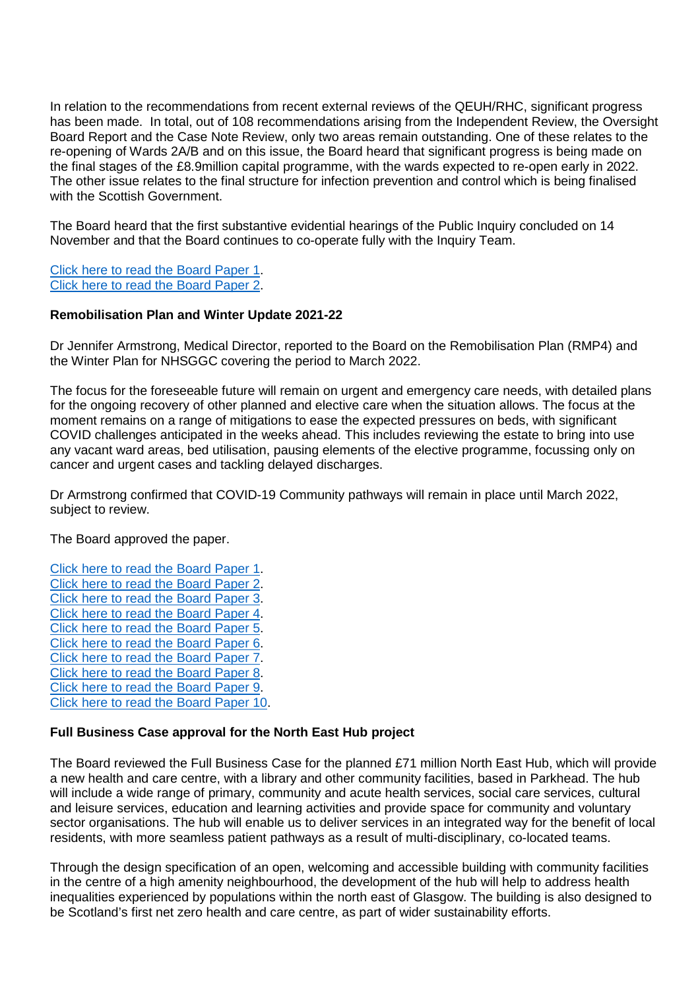In relation to the recommendations from recent external reviews of the QEUH/RHC, significant progress has been made. In total, out of 108 recommendations arising from the Independent Review, the Oversight Board Report and the Case Note Review, only two areas remain outstanding. One of these relates to the re-opening of Wards 2A/B and on this issue, the Board heard that significant progress is being made on the final stages of the £8.9million capital programme, with the wards expected to re-open early in 2022. The other issue relates to the final structure for infection prevention and control which is being finalised with the Scottish Government.

The Board heard that the first substantive evidential hearings of the Public Inquiry concluded on 14 November and that the Board continues to co-operate fully with the Inquiry Team.

[Click here to read the Board Paper 1.](https://www.nhsggc.org.uk/media/270602/item-10-1-paper-21_82-qeuh-update-december-2021-cover.pdf) [Click here to read the Board Paper 2.](https://www.nhsggc.org.uk/media/270603/item-10-2-paper-21_82-december-2021-v2.pdf)

#### **Remobilisation Plan and Winter Update 2021-22**

Dr Jennifer Armstrong, Medical Director, reported to the Board on the Remobilisation Plan (RMP4) and the Winter Plan for NHSGGC covering the period to March 2022.

The focus for the foreseeable future will remain on urgent and emergency care needs, with detailed plans for the ongoing recovery of other planned and elective care when the situation allows. The focus at the moment remains on a range of mitigations to ease the expected pressures on beds, with significant COVID challenges anticipated in the weeks ahead. This includes reviewing the estate to bring into use any vacant ward areas, bed utilisation, pausing elements of the elective programme, focussing only on cancer and urgent cases and tackling delayed discharges.

Dr Armstrong confirmed that COVID-19 Community pathways will remain in place until March 2022, subject to review.

The Board approved the paper.

[Click here to read the Board Paper 1.](https://www.nhsggc.org.uk/media/270591/item-09-1-paper-21_81-rmp4-december-board-cover-paper.pdf) [Click here to read the Board Paper 2.](https://www.nhsggc.org.uk/media/270592/item-09-2-paper-21_81-rmp4-narrative-nhsggc-rmp4-v10-final.pdf) [Click here to read the Board Paper 3.](https://www.nhsggc.org.uk/media/270594/item-09-3-paper-21_81-rmp4-nhsggc-winter-plan.pdf) [Click here to read the Board Paper 4.](https://www.nhsggc.org.uk/media/270592/item-09-2-paper-21_81-rmp4-narrative-nhsggc-rmp4-v10-final.pdf) [Click here to read the Board Paper 5.](https://www.nhsggc.org.uk/media/270596/item-09-5-paper-21_81-rmp4-delivery-planning-template.pdf) [Click here to read the Board Paper 6.](https://www.nhsggc.org.uk/media/270597/item-09-6-paper-21_81-rmp4-activity-projections-t1.pdf) [Click here to read the Board Paper 7.](https://www.nhsggc.org.uk/media/270598/item-09-7-paper-21_81-rmp4-activity-projections-t2.pdf) [Click here to read the Board Paper 8.](https://www.nhsggc.org.uk/media/270599/item-09-8-paper-21_81-rmp4-activity-projections-t3.pdf) [Click here to read the Board Paper 9.](https://www.nhsggc.org.uk/media/270600/item-09-9-paper-21_81-rmp4-nhsggc-heat-map-final.pdf) [Click here to read the Board Paper 10.](https://www.nhsggc.org.uk/media/270601/item-09-10-paper-21_81-rmp4-feedback-letter.pdf)

# **Full Business Case approval for the North East Hub project**

The Board reviewed the Full Business Case for the planned £71 million North East Hub, which will provide a new health and care centre, with a library and other community facilities, based in Parkhead. The hub will include a wide range of primary, community and acute health services, social care services, cultural and leisure services, education and learning activities and provide space for community and voluntary sector organisations. The hub will enable us to deliver services in an integrated way for the benefit of local residents, with more seamless patient pathways as a result of multi-disciplinary, co-located teams.

Through the design specification of an open, welcoming and accessible building with community facilities in the centre of a high amenity neighbourhood, the development of the hub will help to address health inequalities experienced by populations within the north east of Glasgow. The building is also designed to be Scotland's first net zero health and care centre, as part of wider sustainability efforts.